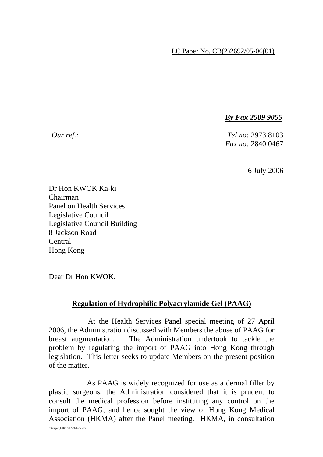## LC Paper No. CB(2)2692/05-06(01)

*By Fax 2509 9055*

*Our ref.: Tel no:* 2973 8103 *Fax no:* 2840 0467

6 July 2006

Dr Hon KWOK Ka-ki Chairman Panel on Health Services Legislative Council Legislative Council Building 8 Jackson Road Central Hong Kong

Dear Dr Hon KWOK,

## **Regulation of Hydrophilic Polyacrylamide Gel (PAAG)**

 At the Health Services Panel special meeting of 27 April 2006, the Administration discussed with Members the abuse of PAAG for breast augmentation. The Administration undertook to tackle the problem by regulating the import of PAAG into Hong Kong through legislation. This letter seeks to update Members on the present position of the matter.

 As PAAG is widely recognized for use as a dermal filler by plastic surgeons, the Administration considered that it is prudent to consult the medical profession before instituting any control on the import of PAAG, and hence sought the view of Hong Kong Medical Association (HKMA) after the Panel meeting. HKMA, in consultation

c:\temp\e\_hs0427cb2-2692-1e.doc